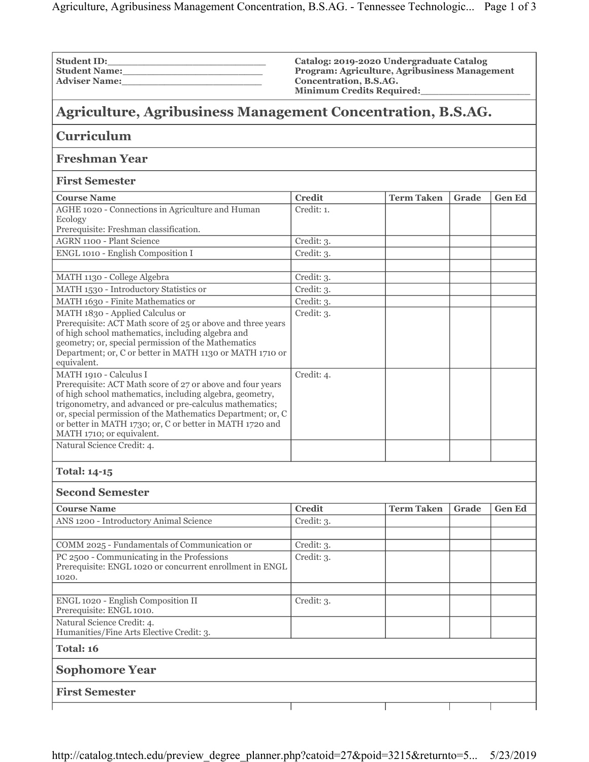| <b>Student ID:</b>   |  |
|----------------------|--|
| <b>Student Name:</b> |  |
| <b>Adviser Name:</b> |  |

**Catalog: 2019-2020 Undergraduate Catalog Program: Agriculture, Agribusiness Management Concentration, B.S.AG. Minimum Credits Required:\_\_\_\_\_\_\_\_\_\_\_\_\_\_\_\_\_\_**

## **Agriculture, Agribusiness Management Concentration, B.S.AG.**

| <b>Curriculum</b>                                                                                                                                                                                                                                                                                                                                                   |               |                   |       |               |  |  |  |  |
|---------------------------------------------------------------------------------------------------------------------------------------------------------------------------------------------------------------------------------------------------------------------------------------------------------------------------------------------------------------------|---------------|-------------------|-------|---------------|--|--|--|--|
| <b>Freshman Year</b>                                                                                                                                                                                                                                                                                                                                                |               |                   |       |               |  |  |  |  |
| <b>First Semester</b>                                                                                                                                                                                                                                                                                                                                               |               |                   |       |               |  |  |  |  |
| <b>Course Name</b>                                                                                                                                                                                                                                                                                                                                                  | <b>Credit</b> | <b>Term Taken</b> | Grade | <b>Gen Ed</b> |  |  |  |  |
| AGHE 1020 - Connections in Agriculture and Human<br>Ecology<br>Prerequisite: Freshman classification.                                                                                                                                                                                                                                                               | Credit: 1.    |                   |       |               |  |  |  |  |
| <b>AGRN 1100 - Plant Science</b>                                                                                                                                                                                                                                                                                                                                    | Credit: 3.    |                   |       |               |  |  |  |  |
| ENGL 1010 - English Composition I                                                                                                                                                                                                                                                                                                                                   | Credit: 3.    |                   |       |               |  |  |  |  |
|                                                                                                                                                                                                                                                                                                                                                                     |               |                   |       |               |  |  |  |  |
| MATH 1130 - College Algebra                                                                                                                                                                                                                                                                                                                                         | Credit: 3.    |                   |       |               |  |  |  |  |
| MATH 1530 - Introductory Statistics or                                                                                                                                                                                                                                                                                                                              | Credit: 3.    |                   |       |               |  |  |  |  |
| MATH 1630 - Finite Mathematics or                                                                                                                                                                                                                                                                                                                                   | Credit: 3.    |                   |       |               |  |  |  |  |
| MATH 1830 - Applied Calculus or<br>Prerequisite: ACT Math score of 25 or above and three years<br>of high school mathematics, including algebra and<br>geometry; or, special permission of the Mathematics<br>Department; or, C or better in MATH 1130 or MATH 1710 or<br>equivalent.                                                                               | Credit: 3.    |                   |       |               |  |  |  |  |
| MATH 1910 - Calculus I<br>Prerequisite: ACT Math score of 27 or above and four years<br>of high school mathematics, including algebra, geometry,<br>trigonometry, and advanced or pre-calculus mathematics;<br>or, special permission of the Mathematics Department; or, C<br>or better in MATH 1730; or, C or better in MATH 1720 and<br>MATH 1710; or equivalent. | Credit: 4.    |                   |       |               |  |  |  |  |
| Natural Science Credit: 4.                                                                                                                                                                                                                                                                                                                                          |               |                   |       |               |  |  |  |  |
|                                                                                                                                                                                                                                                                                                                                                                     |               |                   |       |               |  |  |  |  |
| <b>Total: 14-15</b>                                                                                                                                                                                                                                                                                                                                                 |               |                   |       |               |  |  |  |  |
| <b>Second Semester</b>                                                                                                                                                                                                                                                                                                                                              |               |                   |       |               |  |  |  |  |
| <b>Course Name</b>                                                                                                                                                                                                                                                                                                                                                  | <b>Credit</b> | <b>Term Taken</b> | Grade | <b>Gen Ed</b> |  |  |  |  |
| ANS 1200 - Introductory Animal Science                                                                                                                                                                                                                                                                                                                              | Credit: 3.    |                   |       |               |  |  |  |  |
|                                                                                                                                                                                                                                                                                                                                                                     |               |                   |       |               |  |  |  |  |
| COMM 2025 - Fundamentals of Communication or                                                                                                                                                                                                                                                                                                                        | Credit: 3.    |                   |       |               |  |  |  |  |
| PC 2500 - Communicating in the Professions<br>Prerequisite: ENGL 1020 or concurrent enrollment in ENGL<br>1020.                                                                                                                                                                                                                                                     | Credit: 3.    |                   |       |               |  |  |  |  |
|                                                                                                                                                                                                                                                                                                                                                                     |               |                   |       |               |  |  |  |  |
| ENGL 1020 - English Composition II<br>Prerequisite: ENGL 1010.                                                                                                                                                                                                                                                                                                      | Credit: 3.    |                   |       |               |  |  |  |  |
| Natural Science Credit: 4.<br>Humanities/Fine Arts Elective Credit: 3.                                                                                                                                                                                                                                                                                              |               |                   |       |               |  |  |  |  |
| Total: 16                                                                                                                                                                                                                                                                                                                                                           |               |                   |       |               |  |  |  |  |
| <b>Sophomore Year</b>                                                                                                                                                                                                                                                                                                                                               |               |                   |       |               |  |  |  |  |
| <b>First Semester</b>                                                                                                                                                                                                                                                                                                                                               |               |                   |       |               |  |  |  |  |
|                                                                                                                                                                                                                                                                                                                                                                     |               |                   |       |               |  |  |  |  |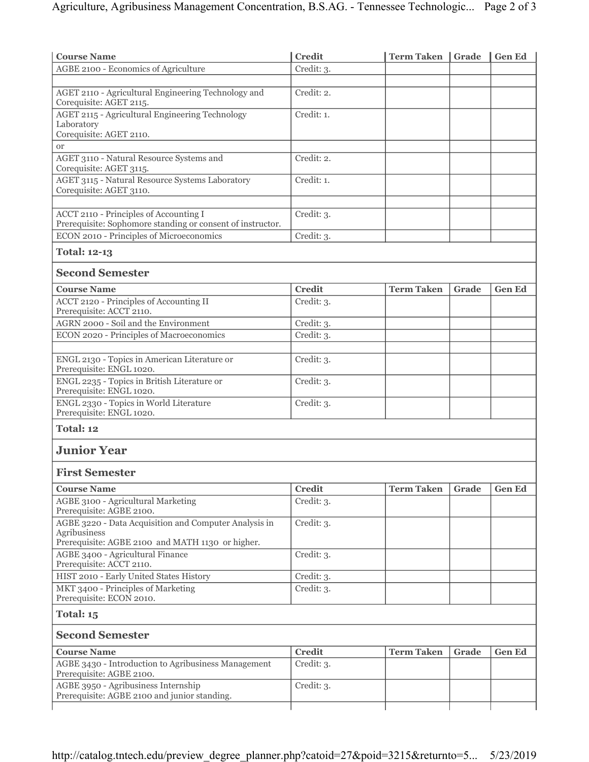| <b>Course Name</b>                                                                                   | <b>Credit</b> | <b>Term Taken</b> Grade |       | Gen Ed        |
|------------------------------------------------------------------------------------------------------|---------------|-------------------------|-------|---------------|
| AGBE 2100 - Economics of Agriculture                                                                 | Credit: 3.    |                         |       |               |
|                                                                                                      |               |                         |       |               |
| AGET 2110 - Agricultural Engineering Technology and<br>Corequisite: AGET 2115.                       | Credit: 2.    |                         |       |               |
| AGET 2115 - Agricultural Engineering Technology                                                      | Credit: 1.    |                         |       |               |
| Laboratory<br>Corequisite: AGET 2110.                                                                |               |                         |       |               |
| <b>or</b>                                                                                            |               |                         |       |               |
| AGET 3110 - Natural Resource Systems and<br>Corequisite: AGET 3115.                                  | Credit: 2.    |                         |       |               |
| <b>AGET 3115 - Natural Resource Systems Laboratory</b><br>Corequisite: AGET 3110.                    | Credit: 1.    |                         |       |               |
|                                                                                                      |               |                         |       |               |
| ACCT 2110 - Principles of Accounting I<br>Prerequisite: Sophomore standing or consent of instructor. | Credit: 3.    |                         |       |               |
| ECON 2010 - Principles of Microeconomics                                                             | Credit: 3.    |                         |       |               |
| <b>Total: 12-13</b>                                                                                  |               |                         |       |               |
| <b>Second Semester</b>                                                                               |               |                         |       |               |
| <b>Course Name</b>                                                                                   | <b>Credit</b> | <b>Term Taken</b>       | Grade | <b>Gen Ed</b> |
| ACCT 2120 - Principles of Accounting II<br>Prerequisite: ACCT 2110.                                  | Credit: 3.    |                         |       |               |
| AGRN 2000 - Soil and the Environment                                                                 | Credit: 3.    |                         |       |               |
| ECON 2020 - Principles of Macroeconomics                                                             | Credit: 3.    |                         |       |               |
| ENGL 2130 - Topics in American Literature or<br>Prerequisite: ENGL 1020.                             | Credit: 3.    |                         |       |               |
| ENGL 2235 - Topics in British Literature or<br>Prerequisite: ENGL 1020.                              | Credit: 3.    |                         |       |               |
| ENGL 2330 - Topics in World Literature<br>Prerequisite: ENGL 1020.                                   | Credit: 3.    |                         |       |               |
| Total: 12                                                                                            |               |                         |       |               |
| <b>Junior Year</b>                                                                                   |               |                         |       |               |
| <b>First Semester</b>                                                                                |               |                         |       |               |
| <b>Course Name</b>                                                                                   | <b>Credit</b> | <b>Term Taken</b>       | Grade | <b>Gen Ed</b> |
| AGBE 3100 - Agricultural Marketing<br>Prerequisite: AGBE 2100.                                       | Credit: 3.    |                         |       |               |
| AGBE 3220 - Data Acquisition and Computer Analysis in<br>Agribusiness                                | Credit: 3.    |                         |       |               |
| Prerequisite: AGBE 2100 and MATH 1130 or higher.                                                     |               |                         |       |               |
| AGBE 3400 - Agricultural Finance<br>Prerequisite: ACCT 2110.                                         | Credit: 3.    |                         |       |               |
| HIST 2010 - Early United States History                                                              | Credit: 3.    |                         |       |               |
| MKT 3400 - Principles of Marketing<br>Prerequisite: ECON 2010.                                       | Credit: 3.    |                         |       |               |
| Total: 15                                                                                            |               |                         |       |               |
| <b>Second Semester</b>                                                                               |               |                         |       |               |
| <b>Course Name</b>                                                                                   | <b>Credit</b> | <b>Term Taken</b>       | Grade | <b>Gen Ed</b> |
| AGBE 3430 - Introduction to Agribusiness Management<br>Prerequisite: AGBE 2100.                      | Credit: 3.    |                         |       |               |
| AGBE 3950 - Agribusiness Internship<br>Prerequisite: AGBE 2100 and junior standing.                  | Credit: 3.    |                         |       |               |
|                                                                                                      |               |                         |       |               |